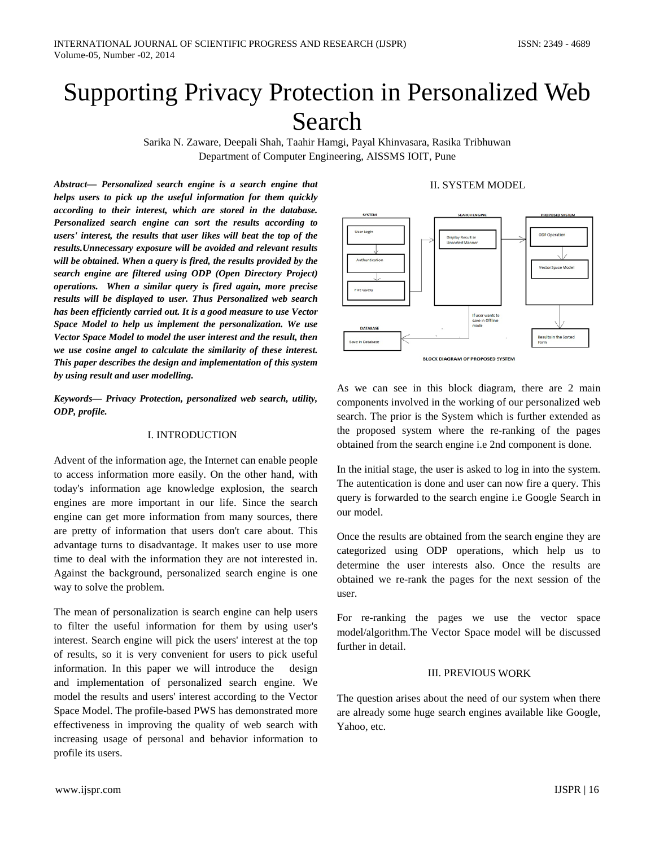# Supporting Privacy Protection in Personalized Web Search

Sarika N. Zaware, Deepali Shah, Taahir Hamgi, Payal Khinvasara, Rasika Tribhuwan Department of Computer Engineering, AISSMS IOIT, Pune

*Abstract— Personalized search engine is a search engine that helps users to pick up the useful information for them quickly according to their interest, which are stored in the database. Personalized search engine can sort the results according to users' interest, the results that user likes will beat the top of the results.Unnecessary exposure will be avoided and relevant results will be obtained. When a query is fired, the results provided by the search engine are filtered using ODP (Open Directory Project) operations. When a similar query is fired again, more precise results will be displayed to user. Thus Personalized web search has been efficiently carried out. It is a good measure to use Vector Space Model to help us implement the personalization. We use Vector Space Model to model the user interest and the result, then we use cosine angel to calculate the similarity of these interest. This paper describes the design and implementation of this system by using result and user modelling.*

*Keywords— Privacy Protection, personalized web search, utility, ODP, profile.*

## I. INTRODUCTION

Advent of the information age, the Internet can enable people to access information more easily. On the other hand, with today's information age knowledge explosion, the search engines are more important in our life. Since the search engine can get more information from many sources, there are pretty of information that users don't care about. This advantage turns to disadvantage. It makes user to use more time to deal with the information they are not interested in. Against the background, personalized search engine is one way to solve the problem.

The mean of personalization is search engine can help users to filter the useful information for them by using user's interest. Search engine will pick the users' interest at the top of results, so it is very convenient for users to pick useful information. In this paper we will introduce the design and implementation of personalized search engine. We model the results and users' interest according to the Vector Space Model. The profile-based PWS has demonstrated more effectiveness in improving the quality of web search with increasing usage of personal and behavior information to profile its users.

# II. SYSTEM MODEL



As we can see in this block diagram, there are 2 main components involved in the working of our personalized web search. The prior is the System which is further extended as the proposed system where the re-ranking of the pages

In the initial stage, the user is asked to log in into the system. The autentication is done and user can now fire a query. This query is forwarded to the search engine i.e Google Search in our model.

obtained from the search engine i.e 2nd component is done.

Once the results are obtained from the search engine they are categorized using ODP operations, which help us to determine the user interests also. Once the results are obtained we re-rank the pages for the next session of the user.

For re-ranking the pages we use the vector space model/algorithm.The Vector Space model will be discussed further in detail.

#### III. PREVIOUS WORK

The question arises about the need of our system when there are already some huge search engines available like Google, Yahoo, etc.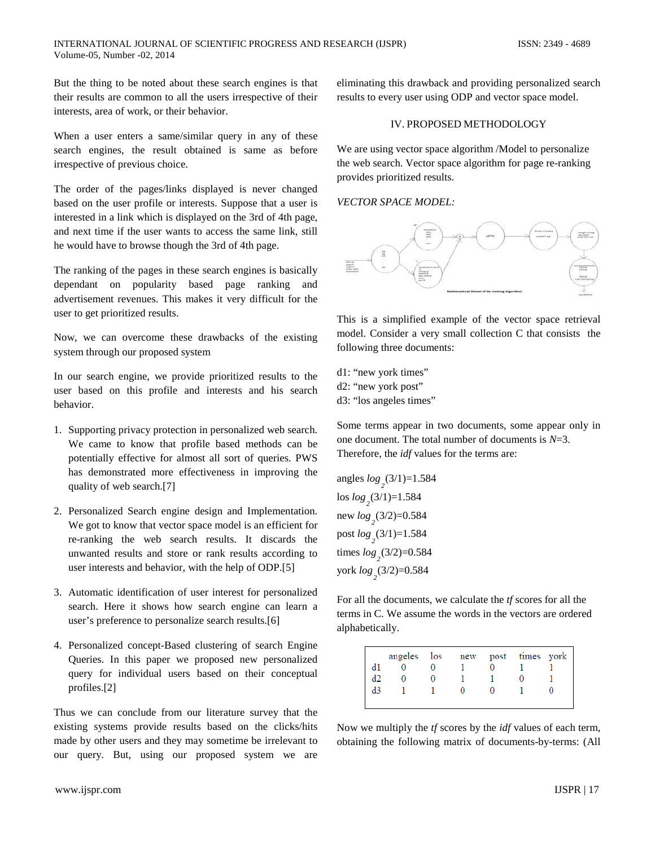But the thing to be noted about these search engines is that their results are common to all the users irrespective of their interests, area of work, or their behavior.

When a user enters a same/similar query in any of these search engines, the result obtained is same as before irrespective of previous choice.

The order of the pages/links displayed is never changed based on the user profile or interests. Suppose that a user is interested in a link which is displayed on the 3rd of 4th page, and next time if the user wants to access the same link, still he would have to browse though the 3rd of 4th page.

The ranking of the pages in these search engines is basically dependant on popularity based page ranking and advertisement revenues. This makes it very difficult for the user to get prioritized results.

Now, we can overcome these drawbacks of the existing system through our proposed system

In our search engine, we provide prioritized results to the user based on this profile and interests and his search behavior.

- 1. Supporting privacy protection in personalized web search. We came to know that profile based methods can be potentially effective for almost all sort of queries. PWS has demonstrated more effectiveness in improving the quality of web search.[7]
- 2. Personalized Search engine design and Implementation. We got to know that vector space model is an efficient for re-ranking the web search results. It discards the unwanted results and store or rank results according to user interests and behavior, with the help of ODP.[5]
- 3. Automatic identification of user interest for personalized search. Here it shows how search engine can learn a user's preference to personalize search results.[6]
- 4. Personalized concept-Based clustering of search Engine Queries. In this paper we proposed new personalized query for individual users based on their conceptual profiles.[2]

Thus we can conclude from our literature survey that the existing systems provide results based on the clicks/hits made by other users and they may sometime be irrelevant to our query. But, using our proposed system we are

eliminating this drawback and providing personalized search results to every user using ODP and vector space model.

#### IV. PROPOSED METHODOLOGY

We are using vector space algorithm */Model* to personalize the web search. Vector space algorithm for page re-ranking provides prioritized results.

#### *VECTOR SPACE MODEL:*



This is a simplified example of the vector space retrieval model. Consider a very small collection C that consists the following three documents:

- d1: "new york times"
- d2: "new york post"
- d3: "los angeles times"

Some terms appear in two documents, some appear only in one document. The total number of documents is *N*=3. Therefore, the *idf* values for the terms are:

angles  $log_2(3/1)=1.584$ los  $log_2(3/1)=1.584$ new  $log_2(3/2) = 0.584$ post *log*<sub>2</sub>(3/1)=1.584 times  $log_2(3/2) = 0.584$ york *log*<sub>2</sub>(3/2)=0.584

For all the documents, we calculate the *tf* scores for all the terms in C. We assume the words in the vectors are ordered alphabetically.

|             | angeles los new post times york |  |  |  |
|-------------|---------------------------------|--|--|--|
| $_{\rm d1}$ |                                 |  |  |  |
| d2          |                                 |  |  |  |
| d3          |                                 |  |  |  |
|             |                                 |  |  |  |

Now we multiply the *tf* scores by the *idf* values of each term, obtaining the following matrix of documents-by-terms: (All